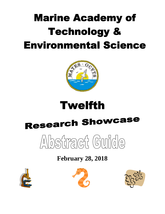# **Marine Academy of Technology & Environmental Science**





# **Research Showcase**



# **February 28, 2018**





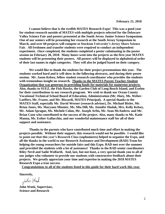**I cannot believe that is the twelfth MATES Research Expo! This was a good year for student research outside of MATES with multiple projects selected for the Delaware Valley Science Fair and posters presented at the South Jersey Junior Science Symposium. One of our seniors will be presenting her research at the South Jersey Symposium in March, and over 60 projects will compete at Stockton University's Jersey Shore Science Fair. All freshmen and transfer students were required to conduct an independent experiment. Once completed, the students completed a poster culminating in the poster session on February 28, 2018. Many hours went into the projects as the first year MATES students will be presenting their posters. All posters will be displayed in alphabetical order of their last names in eight categories. They will also be judged based on their category.** 

**We would like to thank the students for their project presentations this year. The students worked hard and it will show in the following abstracts, and during their poster session. Mr. Jason Kelsey, fellow student research coordinator who provides the students with tremendous insight on research. Thanks to the MATES Parent-Teacher-Student Organization that was generous in providing funds for materials for numerous projects. Also, thanks to SUEZ, the Fish Hawks, the Garden Club of Long Beach Island, and Exelon for their contributions to our research program. We wish to thank our Ocean County Vocational Technical School Board of Education, Administration (Mr. Hoey, Ms. Weber-Loeffert, Mr. Frazee, and Mr. Biscardi, MATES Principal). A special thanks to the MATES Staff, especially Mr. David Werner (research advisor), Dr. Michael Bixler, Mr. Brian Jones, Ms. Maryann Minnier, Ms. Mia Dill, Ms. Jennifer Hudak, Mrs. Kelly Kelsey, Mr. Adam Sprague, Ms. Michele Colon, Mr. Joseph Arfin, Mr. Sean McAndrew and Mr. Brian Coen who contributed to the success of the project. Also, many thanks to Ms. Katie Manna, Ms. Esther Gallacchio, and our wonderful maintenance staff for all of their support and assistance.** 

**Thanks to the parents who have contributed much time and effort in making the projects possible. Without their support, this research would not be possible. I would like to point out that this year's Research Class (sophomores) helped to organize the Expo, and all the thanks in the world to our Research Assistance and Development (RAD) Team for helping the young researchers for outside fairs and this Expo. RAD met over the summer and provided the students with a lot of assistance! Thanks to the RAD senior coordinators Riley Nevil and Sadie Wolfarth. And, last, but not least, a very special thank you to all of our judges who volunteer to provide our students with constructive feedback about their projects. We greatly appreciate your time and expertise in making the 2018 MATES Research Expo a true success.** 

 **Congratulations to all of the students listed in this guide for their hard work this year.**

**Sincerely,**

John Wrok

**John Wnek, Supervisor, Science and Research**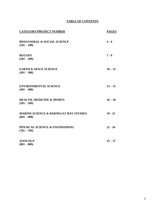# **TABLE OF CONTENTS**

| <b>CATEGORY/PROJECT NUMBER</b>                                    | <b>PAGES</b> |
|-------------------------------------------------------------------|--------------|
| <b>BEHAVIORAL &amp; SOCIAL SCIENCE</b><br>$(101 - 109)$           | $4 - 6$      |
| <b>BOTANY</b><br>$(201 - 209)$                                    | $7 - 9$      |
| <b>EARTH &amp; SPACE SCIENCE</b><br>$(301 - 308)$                 | $10 - 12$    |
| <b>ENVIRONMENTAL SCIENCE</b><br>$(401 - 408)$                     | $13 - 15$    |
| <b>HEALTH, MEDICINE &amp; SPORTS</b><br>$(501 - 509)$             | $16 - 18$    |
| <b>MARINE SCIENCE &amp; BARNEGAT BAY STUDIES</b><br>$(601 - 608)$ | $19 - 21$    |
| PHYSICAL SCIENCE & ENGINEERING<br>$(701 - 709)$                   | $22 - 24$    |
| <b>ZOOLOGY</b><br>$(801 - 809)$                                   | $25 - 27$    |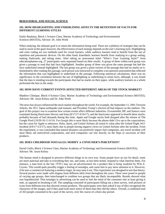# **BEHAVIORAL AND SOCIAL SCIENCE**

# **101. HOW HIGHLIGHTING AND UNDERLINING AFFECTS THE RETENTION OF FACTS FOR DIFFERENT LEARNING STYLES**

Emily Baubinas, Block 1 Science Class, Marine Academy of Technology and Environmental Sciences (MATES), Advisor: Dr. John Wnek

When studying, the ultimate goal is to retain the information being read. There are a plethora of strategies that can be used to assist in this goal; however, the effectiveness of each strategy depends on the user's learning style. Highlighting and color coding are two methods used for visual learners, while auditory learners tend to benefit from the use of repetition and pneumonic devices. On the other hand, kinesthetic learners benefit from studying in a group setting, making flashcards, and taking notes. After taking an assessment titled "What's Your Learning Style?" from educationplanner.org, 27 participants were separated based on their results. A group of three within each group was given a passage to read that had facts highlighted. Another group of three was given the same passage but had the facts underlined instead highlighted. The last group was given a plain version of the passage that had no marks on it. Immediately after reading this passage, each person was instructed to complete a ten question assessment that reflected the information that was highlighted or underlined in the passage. Following statistical calculations, there was no significance in the correlation between the use of highlighting or underlining to retain facts; although, it was found that the data is trending towards the participants that had no marks on their paper, while auditory learners as a whole performed the best in the study.

# **102. HOW HAVE CURRENT EVENTS AFFECTED DIFFERENT AREAS OF THE STOCK MARKET?**

Matthew Chinique, Block 4 Science Class, Marine Academy of Technology and Environmental Science (MATES), Advisors: Mr. Jason Kelsey and Dr. John Wnek

The news has always influenced the stock market throughout the world. For example, the September 11, 2001 Terrorist Attacks, the 2011 Japan earthquake and tsunami, and President Trump's election all had impacts on the markets. The goal of this project was to examine how certain events affect different industries. Exxonmobil, BP, and Sunoco were examined during Hurricanes Harvey and Irma (8/17/17-9/16/17), and the hurricanes appeared to benefit these stocks, probably because of fuel demands during this time. Apple and Google stocks both dropped after the release of The Google Pixel (10/20-16-11/4/16). For Google this is most likely because the phone didn't live up to the expectations, but the cause for Apple is unknown. Delta, Spirit, and United Airlines all raised in value after the United Flight 3411 Incident (4/9/17-5/2/17), most likely due to people having negative views on United Airlines after the incident. From the experiment, is was concluded that natural disasters can positively impact fuel companies, any travel incident will most likely aid uninvolved corporations, and tech companies can rely heavily on the flops or successes of their products.

# **103. DOES CHILDHOOD NOSTALGIA MODIFY A CONSUMER'S PERCEPTION?**

David Ciullo, Block 3 Science Class, Marine Academy of Technology and Environmental Science (MATES), Advisor: Mr. Jason Kelsey

The human mind is designed to perceive different things in its own way. Some people have an eye for detail, some are more punctual and take in everything they see, and some, as has been tested, respond to what interests them. For instance, a man born in the late 1970's may see an advertisement for a product that is being modeled by Wile E. Coyote. This would quite possibly trigger a feeling of nostalgia, and cause him to pay more attention to it. However, if he sees a commercial featuring a modern singer, he may tune it out. This experiment was designed to test that theory. Several posters were made with slogans from different idols from throughout the years. These were posed to people of varying age groups, then interchanged to combine two groups that are likely incompatible. Results showed what was hypothesized: That nostalgia in advertising can be used to fuel the mind of the consumer into at least giving it note, as opposed to brushing it off. The sampling consisted of participants filling out a short survey, with pictures of icons from different eras that showed certain products. The participants were then asked if any of they recognized the characters of the images, and if they paid took more notice of them than they did the others. Overall, a combined total of 263 people consented to be a part of the survey, over the course of a three-day period.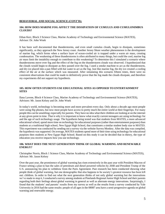# **BEHAVIORAL AND SOCIAL SCIENCE (CONT'D):**

# **104. HOW DOES MARINE FOG AFFECT THE DISSIPATION OF CUMULUS AND CUMULONIMBUS CLOUDS?**

Ethan Kerr, Block 3 Science Class, Marine Academy of Technology and Environmental Science (MATES), Advisor: Dr. John Wnek

It has been well documented that thunderstorms, and even small cumulus clouds, begin to dissipate, sometimes significantly, as they approach the New Jersey coast. Another Jersey Shore weather phenomenon is the development of marine fog, which forms when a surface layer of ocean-cooled air is trapped under a warm air mass, creating condensation. The weakening of these thunderstorms is often attributed to many things, but could the cool, marine fog air mass limit the instability enough to contribute to this weakening? To determine this I simulated a scenario where thunderstorms move over fog and the effect of the fog on the thunderstorm clouds was observed. I hypothesized that the clouds would begin to dissipate as they passed over the fog. I used a smoke machine to act as the thunderstorm, and dry ice placed into a pan filled with hot water to act as the fog. Just like marine fog, the dry ice created a cooling effect of the air at the surface which was measured. After simulating this scenario fifteen times, there were no consistent observations that could be made to definitively prove that the fog made the clouds dissipate, and therefore my experiments did not support my hypothesis.

# **105. HOW OFTEN STUDENTS USE EDUCATIONAL SITES AS OPPOSED TO ENTERTAINMENT SITES**

Ilana Lavene, Block 4 Science Class, Marine Academy of Technology and Environmental Science (MATES), Advisors: Mr. Jason Kelsey and Dr. John Wnek

In today's world, technology is becoming more and more prevalent every day. Only about a decade ago most people were using flip phones, but now most people have access to pretty much the entire world at their fingertips. For many people this can be unsettling; especially for parents. They have no idea what their children are looking at on the internet at any given point in time. That is why it is important to know what exactly current teenagers are using technology for and the age of such technology usage. The hypothesis being tested was that students from MATES, a more advanced educational school, spend more time on technology for educational purposes (rather than entertainment purposes) than students at a traditional high school, New Egypt High School, that constitutes a similar student body size to MATES. This experiment was conducted by sending out a survey via the website Survey Monkey. After the data was compiled, the hypothesis was supported. On average, MATES students spend more of their time using technology for educational purposes then students at New Egypt High School. Based on this study it can be decided that in theory, the type of education you receive impacts how you use technology.

# **106. WHAT DOES THE NEXT GENERATION THINK OF GLOBAL WARMING AND RENEWABLE ENERGY?**

Christopher Norris, Block 1 Science Class, Marine Academy of Technology and Environmental Science (MATES), Advisor: Mr. Jason Kelsey

Over the past year, the prominence of global warming has risen extensively in the past year with President Macron of France setting a plan to ban the sales of petroleum and diesel powered vehicles by 2040 and President Trump of the U.S. announcing his plan to withdraw from the Paris Agreement. Past research has been conducted showing what people think of global warming, but one demographic that also happens to be society's greatest resource has been left out: children. In order to find out what the next generation thinks of not only global warming but the innovations we've made to stop it, I conducted a survey among students at Pinelands Regional Junior High School and their parents regarding both their feelings about global warming in general as well as alternate energy innovations. Surprisingly, I found that the students' and parents' results from my survey as well as the results from a survey conducted by Yale University in 2016 had the same results: people of all ages in the 08087 area have a semi-progressive agenda on global warming and renewable energy.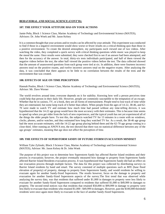# **BEHAVIORAL AND SOCIAL SCIENCE (CONT'D):**

# **107. THE EFFECT YOUR ATTITUDE HAS ON YOUR ACTIONS**

Jamie Peña, Block 1 Science Class, Marine Academy of Technology and Environmental Science (MATES), Advisors: Dr. John Wnek and Mr. Jason Kelsey

It is a common thought that your actions and/or results can be affected by your attitude. This experiment was conducted to find if those in a negative environment would show worse or fewer results on a critical thinking quiz than those in a positive environment. To create the desired atmosphere, my participants each viewed one of two videos. After watching the video, they completed a quick survey with critical thinking questions while music was played to keep the mood the same. Once results were submitted, they were checked first to see if an answer had been attempted, and then for the accuracy of the answer. In total, thirty-six tests individuals participated, and half of them viewed the negative videos before the test, the other half viewed the positive videos before the test. The data collected showed that the amount of unanswered questions from each group were tied at six. In addition, there were fourteen incorrect answers total on the positive exams, and twelve incorrect answers total on the negative exams. After analyzing the data, it was concluded that there appears to be little to no correlation between the results of the tests and the environment that was created.

# **108. EFFECTS OF AGE ON TIME PERCEPTION**

Hannah Poulos, Block 1 Science Class, Marine Academy of Technology and Environmental Science (MATES), Advisor: Mr. Dave Werner

The world revolves around time; everyone depends on it for stability. Knowing how well a person perceives time could help that person in their daily life. However, people are commonly susceptible to the temptation of an escape. Whether that be in casinos, TV, or a book, they are all forms of entertainment. People tend to lose track of time while they are entertained, but some keep track of it better than others. When people from the ages of 14-22, 38-46, and 62- 70 were made to watch TV and estimate how much time had passed without any time-telling devices, it was hypothesized that the 14-22 age group would have the most accuracy with their estimates. This is because time seems to speed up when you get older from the lack of new experiences, and the typical youth has not yet experienced all of the things the older people have. To test this, the subjects watched TV for 13 minutes in a room with no windows, clocks, phones, and/or watches, and they estimated how long they watched TV for. As a result, the 38-46 age group had the most accurate estimates, with the 14-22 age group placing behind them and the 62-70 age group coming in a close third. After running an ANOVA test, the test showed that there was no statistical difference between any of the age groups' estimates, meaning that age does not affect the perception of time.

#### **109. THE EFFECTS OF SUPERSTORM SANDY OF FUTURE STORM EVACUATION MINDSET**

William Tyler Zylinski, Block 3 Science Class, Marine Academy of Technology and Environmental Science (MATES), Advisor: Mr. Jason Kelsey & Dr. John Wnek

The purpose of this project was to determine how Superstorm Sandy has affected Barrier Island residents and their process in evacuation; however, the project eventually measured how damage to property from Superstorm Sandy affected Barrier Island Residents evacuation process. It was hypothesized that Superstorm Sandy did had an effect on our evacuation process through multiple factors. The data for this project was collected by distributing surveys to Barrier Island residents by hand and email. The survey consisted of multiple questions such as BFE (base flood elevation of property) of property, damage to property from Superstorm Sandy, and would residents be willing to evacuate again for another Sandy-Sized Superstorm. The results however, focus on the damage to property and evacuation for another Sandy-Sized Superstorm aspects of the survey.The first trend that was observed while analyzing the survey data, was that residents that suffered under \$1,000 in damages to property were less likely to evacuate for another Sandy-Sized Superstorm compared to residents that suffered \$1,000 to \$49,999 in damages to property. The second trend notices was that residents that retained \$50,000 to \$99,999 in damage to property were less likely to evacuate than residents who retained \$1,000 - \$49,999 in damages. However, past the \$100,000 threshold residents were once again more likely to evacuate in the face of another Sandy-Sized Superstorm.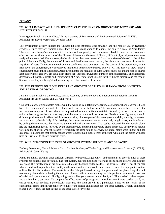# **BOTANY**

#### **201. WHAT IMPACT WILL NEW JERSEY'S CLIMATE HAVE ON** *HIBISCUS ROSA-SINENSIS* **AND**  *HIBISCUS SYRIACUS***?**

Kyle Agudo, Block 1 Science Class, Marine Academy of Technology and Environmental Science (MATES), Advisors: Mr. David Werner and Dr. John Wnek

The environment greatly impacts the Chinese hibiscus (*Hibiscus rosa-sinensis*) and the rose of Sharon (*Hibiscus syriacus*). Since they are tropical plants, they are not strong enough to endure the colder climate of New Jersey. Therefore, New Jersey's climate is not fit for their optimal plant growth or survival. To determine the environment's effect on the health and survival of the Chinese hibiscus and the rose of Sharon, different physical parameters were analyzed and recorded. Once a week, the height of the plant was measured from the surface of the soil to the highest point of the plant. Daily, the amount of flowers and dead leaves were counted, the plant structures were observed for any signs of pests. To ensure the environment conditions were persistent over the course of the experiment, on the fifth day of the experiment, it was observed that the air temperature dropped below 0° C. This aspect of New Jersey's environment caused the plants death. After three months the height of both the Chinese hibiscus and the rose of Sharon kept indoors increased by 3 cm each. Both plants kept indoors survived the duration of the experiment. The experiment demonstrated that the climate and environment of New Jersey is not suitable for the Chinese hibiscus and the rose of Sharon unless they are brought indoors during the colder months of the year.

# **202. THE EFFECTS ON IRON LEVELS AND GROWTH OF** *SALVIA HISPANICA* **FROM INVERTED AND LATERAL GROWING**

Julianne Chan, Block 4 Science Class, Marine Academy of Technology and Environmental Science (MATES), Advisors: Mr. Jason Kelsey and Dr. John Wnek

One of the most common health problems in the world is iron deficiency anemia, a condition where a person's blood has a less than average amount of red blood cells due to the lack of iron. This issue can be combated through the increased consumption of iron, which can be provided by sources like chia (*Salvia hispanica*); however farmers need to know how to grow them so that they yield the most produce and the most iron. To determine if growing them in different positions would affect their iron composition, nine samples of chia were grown upright, laterally, or inverted and measured by height daily. After 16 days, the sprouts were measured for their body length, mass, and iron levels, by boiling them to extract their iron and then tested with a calorimeter. The results indicated that the upright plants had the highest iron levels, followed by the lateral sprouts and then the inverted plants and seeds. The inverted sprouts were also the shortest, while the others were usually the same height; however, the lateral plants were thinner and had less mass. This implies that gravity caused water to not remain in the center of the pot, which left the plants with less time or less water to absorb nutrients from.

# **203. WILL CHANGING THE TYPE OF GROWTH SYSTEM AFFECT PLANT GROWTH?**

Zachary Davenport, Block 3 Science Class, Marine Academy of Technology and Environmental Science (MATES), Advisor: Mr. Jason Kelsey

Plants are mainly grown in three different systems, hydroponics, aquaponics, and common soil growth. Each of these systems has benefits and downfalls. The first system, hydroponics, uses water and chemicals to grow plants in much less space. It is mostly used in big cities where there isn't enough soil to garden. One downfall is that it uses chemicals, which could lead to plants not as healthy as the other systems, and could be expensive. Next, the aquaponics system utilizes fish for its nutrients. The waste from the fish get filtered through the plants and the plants keep the tank moderately clean while collecting the nutrients. There is effort in maintaining the fish species so you need to take care of a fish tank system as well. Finally, soil growth is like your garden in your backyard. This method is the cheapest, and the healthiest, yet slow. To compare the effectiveness of plant growth in each system, I grew parsley, basil, and chives using each method. I periodically measured the stem growth as a parameter. Based on the results of my experiment, plants in the hydroponics system grew the fastest, and largest out of the three systems. Overall, comparing plants, parsley grew the best in each of the three types of systems.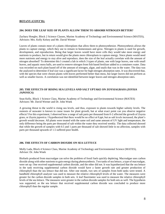# **BOTANY (CONT'D):**

#### **204. DOES THE LEAF SIZE OF PLANTS ALLOW THEM TO ABSORB NITROGEN BETTER?**

Zachary Hoegler, Block 2 Science Classes, Marine Academy of Technology and Environmental Science (MATES), Advisors: Mrs. Kelly Kelsey and Mr. David Werner

Leaves of plants contain most of a plants chloroplasts that allow them to photosynthesize. Photosynthesis allows the plants to capture energy, which they use to remain in homeostasis and grow. Nitrogen in plants is used for growth, development, and reproduction. Being that larger leaves would have more cells they would take more energy and nutrients to produce, but in return would give the plants more chloroplasts to capture energy. Since plants would need more nutrients and energy to stay alive and reproduce, does the size of the leaf actually correlate with the amount of nitrogen absorbed? To determine this I created a lab in which 3 types of plants, one with large leaves, one with small leaves, and aquatic moss balls, are used to remove nitrogen from fish based fertilizer added to a containers water. Data was recorded on each plant based off of the amount of nitrogen, algae, and snails that was in the water. The data was the analyzed to determine if leaf size was a significant factor for high nitrogen absorption rates. It was discovered that, with the species that were chosen plants with leaves performed better than moss, but larger leaves did not perform as well as smaller leaves. A correlation was not identified between larger leaves and nitrogen absorption rates.

# **205. THE EFFECTS OF RISING SEA LEVELS AND SALT UPTAKE ON ZOYSIAGRASS (***ZOYSIA JAPONICA***)**

Sean Kelly, Block 1 Science Class, Marine Academy of Technology and Environmental Science (MATES) Advisors: Mr. David Werner and Dr. John Wnek

A growing threat to the world is rising sea levels, and thus, exposure to plants towards higher salinity levels. The osmosis of seawater is known to cause issues for plant growth, but at what exact point can you observe negative effects? For this experiment, I observed how a range of salt parts per thousand from 0-2 affected the growth of Zoysia grass, or *Zoysia japonica*. I hypothesized that there would be no effect at 0 ppt, but as salt levels increased, the plant's growth would decrease. All plants were treated with the same soil and same amount of UV light and temperature, the only difference being the parts per thousand of salt within the water they received weekly. The data collected showed that while the growth of samples with 0.5 and 1 parts per thousand of salt showed little to no affection, samples with parts per thousand upwards of 1.5 suffered poor health.

# **206. THE EFFECTS OF CARBON DIOXIDE ON SEA LETTUCE**

Molly Lada, Block 4 Science Class, Marine Academy of Technology and Environmental Science (MATES), Advisor: Dr. John Wnek

Biofuels produced from macroalgae can solve the problem of fossil fuels quickly depleting. Macroalgae uses carbon dioxide along with other nutrients to gain energy during photosynthesis. Two tanks of sea lettuce, a type of macroalgae, were set up. One received supplemental carbon dioxide, and the other did not. It was hypothesized that the sea lettuce in the tank receiving supplemental carbon dioxide would have a faster growth rate and greater production of chlorophyll than the sea lettuce that did not. After one month, two sets of samples from both tanks were tested. A handheld chlorophyll analyzer was used to measure the relative chlorophyll levels of the water. The measures were greater for the carbon dioxide samples in both sets. A leaf fluorimeter was used to measure the relative chlorophyll levels of the sea lettuce. The measures were greater in the carbon dioxide samples for both sets as well. The hypothesis was supported, as the sea lettuce that received supplemental carbon dioxide was concluded to produce more chlorophyll than the regular sample.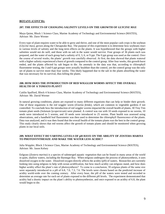### **BOTANY (CONT'D):**

#### **207. THE EFFECTS OF CHANGING SALINITY LEVELS ON THE GROWTH OF** *GLYCINE MAX*

Maya Quinn, Block 1 Science Class, Marine Academy of Technology and Environmental Science (MATES), Advisor: Mr. Dave Werner

Every type of plant requires water to be able to grow and thrive, and one of the most popular cash crops is the soybean (*Glycine max),* grown along the Chesapeake Bay. The purpose of this experiment is to determine how soybeans react to various levels of salinity and the long term effects on the plants. It was hypothesized that the groups with higher salinities would not do well, and those with no salt in the water would survive. Four groups of 36 plants each was prepared, and the water of each group had a salinity of 0, 3, 6, or 9 ppt. The 0 ppt group was used as the control. Over the course of several weeks, the plants' growth was carefully observed. At first, the data showed that plants watered with a higher salinity experienced a burst of growth compared to the control group. After four weeks, this growth burst ended, and the plants affected by salt began to die. An anomaly in the data was that, according to chlorophyll fluorometer testing, the 3 and 6 ppt groups were actually healthier than the control, yet the control group was the only set of plants to survive more than four weeks. This likely happened due to the salt in the plants absorbing the water that was necessary for its survival, thus killing the plants.

# **208. HOW DOES THE INTRODUCTION OF RED WIGGLER WORMS AFFECT THE OVERALL HEALTH OF A TOMATO PLANT?**

Caitlin Spafford, Block 4 Science Class, Marine Academy of Technology and Environmental Science (MATES), Advisor: Mr. David Werner

In natural growing conditions, plants are exposed to many different organisms that can help or hinder their growth. One of these organisms is the red wiggler worm (*Eisenia fetida*), which are common in vegetable gardens if not controlled. To conclude how the introduction of red wiggler worms impacted the overall health of plants, 30 Tiny Tim tomato plant seeds (*Solanum lycopersicum*) were planted. A control was run with 10 seeds exposed to no worms, 10 seeds were introduced to 5 worms, and 10 seeds were introduced to 25 worms. Plant health was assessed using observations, and a handheld leaf fluorometer was then used to determine the chlorophyll fluorescence of the plants. Data was analyzed, and it was then found that the overall health of the tomato plants was the best in the control group. This study clearly shows that red worms affect the growth of tomato plants and should be monitored when growing plants in our local soils.

# **209. WHAT EFFECT DO VARYING LEVELS OF pH HAVE ON THE ABILITY OF** *ZOSTERA MARINA* **TO PHOTOSYNTHESIZE AND MAKE THE WATER LESS ACIDIC?**

Julia Weppler, Block 3 Science Class, Marine Academy of Technology and Environmental Science (MATES), Advisor: Mr. Jason Kelsey

Eelgrass (*Zostera marina*) is a species of submerged aquatic vegetation that can be found in many areas of the world in quiet, shallow waters, including the Barnegat Bay. When eelgrass undergoes the process of photosynthesis, it uses dissolved oxygen in the water. Dissolved oxygen directly affects the acidity (pH) of waters. Researches are currently looking into using eelgrass to help with ocean acidification, but how much acidity can eelgrass stand, and how does higher acidity affect the plant's rate of photosynthesis? To come to a conclusion, 30 eelgrass plants of the same size were separately introduced to a pH of 6.8, 7.0, 7.3, 7.6. The levels were chosen based on the predicted increase of acidity world-wide over the coming century. After every hour, the pH of the waters were tested and recorded to determine an average rate for each set of plants exposed to the different pH levels. The experiment demonstrated that acidity had a drastic impact on the plant's ability to photosynthesize, and once exposed to an acidity of 6.8, the plant would begin to die.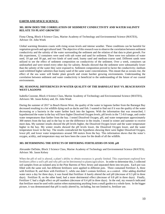# **EARTH AND SPACE SCIENCE:**

# **301. HOW DOES THE CORRELATION OF SEDIMENT CONDUCTIVITY AND WATER SALINITY RELATE TO PLANT GROWTH?**

Fiona Cheng, Block 4 Science Class, Marine Academy of Technology and Environmental Science (MATES), Advisor: Dr. John Wnek

Global warming threatens coasts with rising ocean levels and intense weather. These conditions can be harmful for vegetation growth and agricultural land. The objective of this research was to observe the correlation between sediment conductivity and the salinity of the water surrounding the sediment and the relation of that data to plant growth. For this experiment, 12 containers were used with salt water and sand for sediment. There were two salinities of water used, 10 ppt and 30 ppt, and two kinds of sand used, loamy sand and medium-coarse sand. Different sands were utilized to see the effect of sediment composition on conductivity of the sediment. Over a week, containers sat undisturbed and were tested every other day for salinity. Results showed that the sediment were substantially lower than the salinity of the water they were exposed to. Sediment composition proved to factor the conductivity; medium sand exhibited higher salinities than loamy sand of the same water concentrations. This meant that as oceans rise, the effect of the sea water will hinder plant growth and create harsher growing environments. Understanding the correlation between sediment and water conductivity is beneficial to the understanding of the future of our coastal environments.

# **302. SEASONAL DIFFERENCES IN WATER QUALITY OF THE BARNEGAT BAY VS. BEACH HAVEN WEST LAGOONS**

Isabella Cozzone, Block 4 Science Class, Marine Academy of Technology and Environmental Science (MATES), Advisors: Mr. Jason Kelsey and, Dr. John Wnek

During the summer of 2017 in Beach Haven West, the quality of the water in lagoons farther from the Barnegat Bay decreased resulting in a lot wildlife dying such as ducks and fish. I wanted to find out if it was the quality of the water decreasing or a bacteria in the water farther back into the lagoons. With the information that was researched, I hypothesized the water in the bay will have higher Dissolved Oxygen levels, pH levels in the 7.5-8.0 range, and cooler water temperatures than farther from the bay. I tested Dissolved Oxygen, pH, and water temperature approximately 300 meters from the bay and in the bay to see the difference in the results. I tested in winter and summer to receive more data. My summer results showed the pH levels higher, the Dissolved Oxygen lower and the water temperature higher in the bay. My winter results showed the pH levels lower, the Dissolved Oxygen lower, and the water temperature lower in the bay. The results contradicted the hypothesis showing there were higher Dissolved Oxygen, lower pH, and lower water temperatures around 300 meters from the bay. This information shows that the water's oxygen, acidity, and temperature may not have been the cause for the death of all the wildlife.

# **303. DETERMINING THE EFFECTS OF DIFFERING FERTILIZERS ON SOIL pH**

Alexander DeDuke, Block 3 Science Class, Marine Academy of Technology and Environmental Science (MATES), Advisor: Mr. Jason Kelsey

When the pH of soil is altered, a plant's ability to obtain resources is greatly limited. This experiment explored how fertilizers affect a soil's pH and why pH can be detrimental to plants/agriculture. In order to determine this, I collected soil samples from an isolated area in the Pine Barrens of New Jersey and separated them into ten pots. Each pot was filled with the same soil, but different fertilizers were applied to different pots. Three contained Fertilizer A, three with Fertilizer B, and three with Fertilizer C, while one didn't contain fertilizer, as a control. After adding distilled water once a day for three days, it was found that Fertilizer A barely altered the soil pH (decrease of 0.3 pH in three days). Fertilizer B, on the other hand, had a more detrimental effect (decrease of 0.8 pH in three days). Finally, Fertilizer C had a slight effect on pH numbers (decrease of 0.4 pH in three days). In the end, my research indicated that fertilizer must be used with caution when maintaining anything from a small garden to a whole farm. In the bigger picture, it was demonstrated that pH is easily altered by, including, but not limited to, fertilizer use.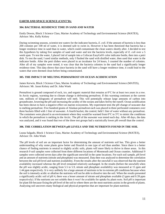# **EARTH AND SPACE SCIENCE (CONT'D):**

#### **304. BACTERIAL RESIDENCE TIME IN SAND AND WATER**

Emily Downs, Block 3 Science Class, Marine Academy of Technology and Environmental Science (MATES), Advisor: Mrs. Kelly Kelsey

During swimming seasons, scientist test waters for the indicator bacteria, *E. coli*. If the amount of bacteria is less than 200 colonies per 100 ml of water, it is deemed safe to swim in. However it has been theorized that bacteria has a longer residence time in sand than in water, which could contaminate the clean waters shortly after. I decided to test this hypothesis by taking five samples of sand and water and test the bacteria levels, especially of *E. coli* over a 5 week span. To test the water, I placed 1ml of sample into a Coliscan EasyGel® color indicator bottle, then into a petri dish. To test the sand, I used similar methods, only I flushed the sand with distilled water, then used that water in the indicator bottle. After the petri dishes were placed in an incubator for 24 hours, I counted the number of colonies. After all of my samples were tested, it was clear that the bacteria colonies in the sand had a significantly longer residence time. This data shows that since bacteria in the sand will have a longer residence time, it could lead to the waters that were deemed clean before being contaminated.

#### **305. THE IMPACT OF MELTING PERMAFROST ON OCEAN ACIDIFICATION**

James Kerwin, Block 3 Science Class, Marine Academy of Technology and Environmental Science (MATES), Advisors: Mr. Jason Kelsey and Dr. John Wnek

Permafrost is ground composed of rock, ice, and organic material that remains at 0°C for at least two years in a row. In Arctic regions, warming due to climate change is defrosting permafrost. If this warming continues at the current rate, millions of kilograms of permafrost will melt. This will potentially release large amounts of carbon into groundwater, lowering the pH and increasing the acidity of the oceans and lakes fed by the runoff. Ocean acidification has been shown to have a negative effect on marine ecosystems. My experiment tests the pH change of seawater due to melting permafrost. Five hundred grams of Alaskan permafrost each was placed in three perforated containers over three buckets filled with 1 liter of seawater. A fourth bucket, the control, held 1 liter of water without any permafrost. The containers were placed in an environment where they would be warmed from  $0^{\circ}$ C to  $3^{\circ}$ C to mimic the conditions in which the permafrost is melting in the Arctic. The pH of the seawater was tested each day. After 40 days, the data was analyzed, and it was found that two of the three test groups had a statistically lower pH overall than the control.

#### **306. THE CORRELATION BETWEEN pH LEVELS AND THE NUTRIENTS FOUND IN THE SOIL**

Leana Salgado, Block 1 Science Class, Marine Academy of Technology and Environmental Science (MATES), Advisor: Dr. John Wnek

The pH levels of soil are an important factor for determining the amount of nutrients soil has. This gives a better understanding of why some plants grow better and flourish in one type of soil than another. Since there is a better chance of finding nutrients in neutral to slightly acidic soils, plants will more likely to thrive in those areas. In this research 9 soil samples were collected from three different locations of Monmouth and Ocean counties. Additional 9 samples were collected seven days after the significant snowfall in the same locations. For each soil sample, pH level and an amount of nutrients (nitrate and phosphate) was measured. Data then was analyzed to determine the correlation between the soil pH level and nutrient availability. From the results after the snowfall it was observed that the nutrient availability increased whereas the pH level remained relatively unchanged. In the results (before the snowfall) when the pH was slightly acidic, ranging from 5.5 to 5.9, nitrate and phosphate availability was measured at 15 ppm and 1.44 ppm respectively. It is very unlikely for a large amount of nutrients to be in extreme pH conditions because when the soil is intensely acidic or alkaline the nutrients will not be able to dissolve into the soil. When the results presented a significantly acidic soil of pH 4, there was a lesser amount of nitrate and phosphate available (3 ppm and 0.39 ppm respectively). If the nutrients are not soluble then it won't be available for uptake by plant roots. Soil pH is important for plant life because fixing the pH level of the soil to where there are the most nutrients assists in the growth of plants. Analyzing soil uncovers many biological and physical properties that are important for plant nutrition.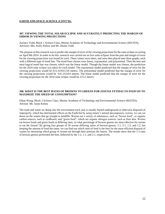# **EARTH AND SPACE SCIENCE (CONT'D):**

# **307. VIEWING THE TOTAL SOLAR ECLIPSE AND ACCURATELY PREDICTING THE MARGIN OF ERROR IN VIEWING PROJECTIONS**

Zachary Todd, Block 1 Science Class, Marine Academy of Technology and Environmental Science (MATES), Advisors: Mrs. Kelly Kelsey and Mr. Dustin Todd

The purpose of this research was to predict the margin of error of the viewing projections for the solar eclipse occurring on April 8th 2024. In order to do this, research was carried out on five solar eclipses from the past and margin of error for the viewing projections was found for each. These values were taken, and were then placed onto three graphs, each with a different type of trend line. The trend lines chosen were linear, exponential, and polynomial. Then the best and most logical trend line was chosen, which was the linear model. Though the linear model was chosen, the prediction for the 2024 solar eclipse was taken for each model. The exponential model predicted that the margin of error for the viewing projections would be 824.264941246 meters. The polynomial model predicted that the margin of error for the viewing projections would be -645.262494 meters. The linear model predicted that the margin of error for the viewing projections for the 2024 solar eclipse would be 215.2 meters.

# **308. WHAT IS THE BEST RATIO OF BROWNS TO GREENS FOR** *EISENIA FETIDAS* **TO FEED ON TO MAXIMIZE THE SPEED OF CONSUMPTION?**

Ethan Wong, Block 3 Science Class, Marine Academy of Technology and Environmental Science (MATES), Advisor: Mr. Jason Kelsey

The trash and waste we dump into the environment each year is usually buried underground or otherwise disposed of improperly, which has detrimental effects on the Earth but by using nature's natural decomposers, worms, we can cut down on the wastes that go straight to landfills. Worms eat a variety of substances, such as "brown food", or organic carbon sources, such as cardboard, and "green food", which are organic nitrogen sources, such as fruit skin. Worms eat brown foods and green foods at differing rates, so what percentage of browns-greens are most effective for worms to eat the fastest? By giving four groups of 50 worms differing ratios of browns-greens, 1:1, 2:1, 1:3, and 1:2, but keeping the amount of food the same, we can find out which ratio of food is the best for the most efficient disposal of wastes by measuring which group of worms eat through their portions the fastest. The results show that the 1:3 ratio of browns-greens performed the best, followed by the 1:2, 1:1, and 2:1, respectively.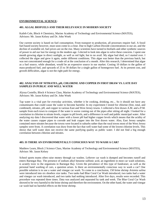# **ENVIRONMENTAL SCIENCE:**

#### **401. ALGAL BIOFUELS AND THEIR RELEVANCE IN MODERN SOCIETY**

Kaileb Cole, Block 4 Chemistry, Marine Academy of Technology and Environmental Science (MATES), Advisors: Mr. Jason Kelsey and Dr. John Wnek

Our current society is based on fuel consumption. From transport to production, all processes require fuel. A fossil fuel based society however, must soon come to a close. Due to high Carbon Dioxide concentrations in our air, and the decline of available oil, fuel prices are on the rise. Many scientists have turned to biofuels and other synthetic sources of power to aid our lust for energy in the modern age. I elected to look into algae to solve these concerns. I spent one month growing algae in direct sunlight, as well as red light, but to no avail. My algae had died, so I started over. I collected the algae and grew it again, under different conditions. This algae was better than the previous batch, but was not concentrated enough for a crude oil at the conclusion of a month. After this research, I determined that algae as a fuel source, while abundant, would be an expensive source in our market. Costing 10 dollars to the gallon of mass-produced fuel, and upwards of 25 to 30 dollars for a single gallon of homegrown fuel. At its present cost, and growth difficulties, algae is not the right path for energy.

# **402. ANALYSIS OF NITRATES, pH, CHLORINE AND COPPER IN FIRST DRAW VS. LATE DAY SAMPLES IN PUBLIC AND WELL WATER**

Alyssa Costello, Block 4 Science Class, Marine Academy of Technology and Environmental Science (MATES), Advisors: Mr. Jason Kelsey and Dr. John Wnek

Tap water is a vital part for everyday activities, whether it be cooking, drinking, etc... So it should not have any contaminants that could cause the water to become harmful. In my experiment I tested for chlorine (free, total, and combined), nitrates, pH, and copper in various East and West Jersey towns. I collected a first drawn A.M. and a P.M. sample from each town to compare if the water is worse coming out of the pipes after sitting all night. I looked for a correlation in chlorine to nitrate levels, copper to pH levels, and a difference in well and public municipal water. After analyzing my data I discovered that water with a lower pH had higher copper levels which means that the acidity of the water causes copper pipes to corrode and leak copper into the first drawn water. Also, East Jersey samples contained more nitrates because the towns were located in suburbs rather than the rural towns most of the West Jersey samples were from. A correlation was draw from the fact that well water had some of the lowest chlorine levels. This shows that well water does not receive the same purifying quality as public water. I did not find a big enough correlation between chlorine and nitrates.

#### **403. IS THERE AN ENVIRONMENTALLY CONSCIOUS WAY TO WASH A CAR?**

Matthew Learn, Block 2 Science Class, Marine Academy of Technology and Environmental Science (MATES), Advisor: Mr. Jason Kelsey

School sports teams often raise money through car washes. Leftover car wash is dumped and becomes runoff and enters Barnegat Bay. The presence of sodium alkyl benzene sulfonic acid, an ingredient in most car wash solutions, is acutely toxic to the organisms in Barnegat Bay. Given the prevalence of this type of fundraiser, as well as the personal hand washing of cars, a question arises. Is there an environmentally conscious way to wash a car? One possible solution is to use a water and vinegar car wash. To come to a conclusion, 150 brine shrimp *Artemia salina* were introduced into six shoebox size tanks. Two tanks had Blue Coral Car Wash introduced, two tanks had a water and vinegar car wash introduced, and two tanks had nothing introduced. After five days, results were recorded. This procedure was repeated three times. Data was analyzed and separated by tank and week. The Blue Coral Car Wash showed to be very harmful to the brine shrimp and therefore the environment. On the other hand, the water and vinegar car wash had no harmful effects on the brine shrimp.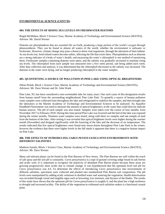# **ENVIRONMENTAL SCIENCE (CONT'D):**

# **404. THE EFFECTS OF RISING SEA LEVELS ON FRESHWATER DIATOMS**

Brigid McMahon, Block 3 Science Class, Marine Academy of Technology and Environmental Science (MATES), Advisor: Mr. David Werner

Diatoms are phytoplankton that are essential life on Earth, producing a large portion of the world's oxygen through photosynthesis. They can be found in almost all waters of the world, whether the environment is saltwater or freshwater. However, climate change may pose a threat to these vital organisms, through the alteration of their habitat. As sea levels rise, fresh inland waters become saltier, affecting the life that exists there. Phytoplankton such as diatoms are a strong indicator of a body of water's health, and measuring the water's chlorophyll is one method of monitoring them. Freshwater samples containing diatoms were taken, and the salinity was gradually increased to simulate rising sea levels. The chlorophyll from each sample was measured over a five week period, salt being added each week. After data collection and analysis, it was determined that the chlorophyll decreased as the salinity was increased. The diatoms in the water were dying, and no longer producing chlorophyll in the water samples.

# **405. QUANTIFYING A SOURCE OF POLLUTION IN PINE LAKE USING OPTICAL BRIGHTENERS**

Jillian Peslak, Block 1 Science Class, Marine Academy of Technology and Environmental Science (MATES), Advisors: Mr. Dave Werner and Dr. John Wnek

Pine Lake, NJ, has been considered a non-swimmable lake for many years. One such cause of this designation results from human runoff from the surrounding neighborhood, Pine Lake Park. To quantify a source of human pollution water samples were collected from throughout the lake and refrigerated to stabilize the samples, and then brought into the laboratory at the Marine Academy of Technology and Environmental Sciences to be analyzed. An Aquaflor Handheld Fluorometer was used to measure the amount of optical brighteners, in the water that could directly indicate human sources. The pH of each sample was also tested. Samples were taken over the course of four months, from November 2017 to February 2018. During this time period Pine Lake was lowered and the bed of the lake was exposed during the winter months. Nineteen water samples were tested, along with three ice samples and one sample of mud from the bottom of the lake. After testing it was revealed that optical brightener levels were higher during the warmer month (November) and dropped significantly with the lowering of the lake and the decrease of air temperature. The results indicated that few optical brighteners were found near storm drains throughout Pine Lake Park in the winter; however the evidence that there were higher levels in the fall made it apparent that there is a negative human impact on Pine Lake.

# **406. THE EFFECTS OF INTRODUCING** *CAREX PENSYLVANICA* **INTO ENVIRONMENTS WITH DIFFERENT SALINITIES**

Madison Surette, Block 1 Science Class, Marine Academy of Technology and Environmental Science (MATES), Advisor: Mr. Dave Werner

Many salt tolerant plants can be found in the Pine Barrens of New Jersey. The Pine Barrens are well within the reach of salt spray and the soil pH is constantly. *Carex pensylvanica* is a type of ground covering sedge found in oak forests and acidic soils. It is important to recognize the plasticity of abundant Pine Barren plants because these areas are growing progressively more acidic due to climate change. It was hypothesized that the optimum level soil pH for *Carex pensylvanica* was 4.6. To determine the effects of introducing *Carex pensylvanica* into environments of different salinities, specimens were collected and planted into standardized Pine Barren soil composition. The pH levels were manipulated by adding acidic solutions to distilled water and watering the vegetation. Health deterioration was recorded through visual and tangible signs such as browning, low moisture, and dryness of the blades. The results of this study have shown that the optimum pH for *Caren pensylvanica* is roughly 6, and the plant has a high resilience to drought and increased acidity. The ability of the vegetation to withstand such salinities makes it a functional coastal plant.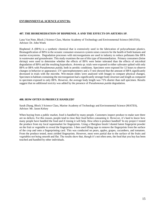# **ENVIRONMENTAL SCIENCE (CONT'D):**

# **407. THE BIOREMEDIATION OF BISPHENOL A AND THE EFFECTS ON** *ARTEMIA SP.*

Lana Van Note, Block 2 Science Class, Marine Academy of Technology and Environmental Science (MATES), Advisor: Dr. John Wnek

Bisphenol A (BPA) is a synthetic chemical that is extensively used in the fabrication of polycarbonate plastics. Biomagnification of BPA in the oceanic consumer-resources system raises concern for the health of both humans and marine ecosystems. Degradation processes with microorganisms are used in industry to reduce pollutants like BPA in wastewater and groundwater. This study examines the use of this type of bioremediation. Primary consumers (brine shrimp) were used to determine whether the effects of BPA were better tolerated than the effects of microbial degradation of BPA and the resulting byproducts. *Artemia sp.* trials were exposed to either saltwater spiked with only BPA or BPA with *Pseudomonas putida,* both in aerobic conditions*.* Specimen were exposed for 12 hours to observe changes in behavior or appearance. UV-spectrophotometry and a T-test showed that the amount of BPA significantly decreased in trials with the microbe. Wet-mount slides were analyzed with Imagej to compare physical changes. Specimen in habitats containing the microorganism had a significantly stronger body structure and length as compared to specimen exposed to only BPA. However, the average body length was 71% shorter than null specimen. Results suggest that no additional toxicity was added by the presence of *Pseudomonas putida* degradation.

#### **408. HOW OFTEN IS PRODUCE HANDLED?**

Sarah Zhang, Block 3 Science Class, Marine Academy of Technology and Environmental Science (MATES), Advisor: Mr. Jason Kelsey

When buying from a public market, food is handled by many people. Customers inspect produce to make sure there are no defects. For this reason, people tend to rinse their food before consuming it. However, it's hard to know how many people have handled the food and if rinsing it will help. How often is produce handled? In my project I tested the produce from my local supermarket for fingerprints. Using a fiberglass brush I dusted latent fingerprint powder on the fruit or vegetable to reveal the fingerprints. I then used lifting tape to remove the fingerprints from the surface of the crop and onto a fingerprinting card. This was conducted on pears, apples, grapes, cucumbers, and tomatoes. From the produce tested, most yielded fingerprints. However, most were partial due to the surface of the fruits and vegetables not being smooth and flat. The results show that, though it's not often seen, the food that you buy has been touched and handled by other individuals.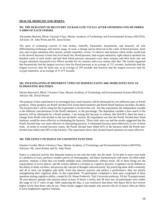#### **HEALTH, MEDICINE AND SPORTS:**

# **501. THE DURATION OF RECOVERY TO BASE-LINE VITALS AFTER SWIMMING ONE-HUNDRED YARDS OF EACH STROKE**

Alessandro Barlotta, Block 4 Science Class, Marine Academy of Technology and Environmental Science (MATES), Advisors: Dr. John Wnek and Mr. Jason Kelsey

The sport of swimming consists of four strokes, butterfly, backstroke, breaststroke, and freestyle, all with differentiating techniques and muscle usage. In each, a change can be observed in the vitals of blood pressure, heart rate, and oxygen saturation after intense, usually anaerobic, swims. To observe and measure which stroke would lead to the slowest decrease to base-line level heart rate, blood pressure, and oxygen saturation, eight subjects sprinted one hundred yards of each stroke and had their blood pressure measured every three minutes and their heart rate and oxygen saturation measured every fifteen seconds for two minutes and every minute after that. The results suggested that breaststroke had the longest recovery time for blood pressure at an average of 315 seconds, backstroke had the longest recovery time for heart rate, at an average of 199 seconds, and freestyle had the longest recovery time for oxygen saturation, at an average of 51.875 seconds.

# **502. INVESTIGATING IF DIFFERENT TYPES OF DISINFECTANTS ARE MORE EFFECTIVE AT ELIMINATING BACTERIA**

Declan Botwinick, Block 3 Science Class, Marine Academy of Technology and Environmental Science (MATES), Advisor: Mr. David Werner

The purpose of this experiment is to investigate how much bacteria will be eliminated by two different types of Purell products. These products are Purell Alcohol-Free Foam Hand Sanitizer and Purell Hand Sanitizer (includes Alcohol). The bacteria that I will be using for this experiment is *Escherichia coli.* For this experiment, the independent variable is the different concentrations of the Purell substance, or the percentage. The dependent variable is how much of the bacteria will be eliminated by a Purell product. I am testing this because in schools, like MATES, there has been a change from Purell with alcohol to the non-alcoholic version. My hypothesis was that the Purell Alcohol base Hand Sanitizer would be more effective at eliminating the bacteria. Three trials were run and the results suggested that the Purell Alcohol base was more effective at eliminating bacteria. It eliminated bacteria more effectively in two of three trials. In terms of overall bacteria counts, the Purell Alcohol base killed 92% of the bacteria while the Purell nonalcohol base killed only 86% of the bacteria. The experiment shows that alcohol-based sanitizers are more effective.

# **503. THE EFFECT OF DANCE ON COGNITIVE FUNCTION**

Daniela Covello, Block 4 Science Class, Marine Academy of Technology and Environmental Science (MATES), Advisors: Mr. Jason Kelsey and Dr. John Wnek

Dance is a physical activity that demands stamina in not only the body, but the mind. To be able to move your body in a plethora of ways, perform countless pieces of choreography, and dance harmoniously with music all while under pressure, requires a brain that can handle multiple tasks simultaneously without strain. All of these things are the requirements of every dancer, and the science behind it correlates to *cognitive function.* Cognition can be defined as the ability to think, recollect, and process the concept of thoughts subconsciously. By practicing these skills constantly and all at once can heighten said skills. Each day dancers practice and perfect a performance, they are merely strengthening their cognition skills. In this experiment, 76 participants completed a short quiz comprised of three questions testing cognitive ability, created by Dr. Shane Frederick, Yale University professor. Of the 76 people tested, 38 were dancers (people who practice dance at least 10 hours a week), and 38 were not; all participants were within the range of 14-17 years of age. After analyzing the data, it was conclusive that those who dance did in fact receive higher scores than those who do not. These results suggest that people who practice the art of dance often are likely to have heightened cognitive function.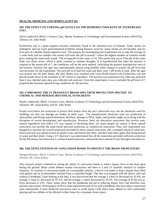# **HEALTH, MEDICINE AND SPORTS (CONT'D):**

# **504. THE EFFECT OF VARYING pH LEVELS ON THE REPRODUCTION RATE OF** *ESCHERICHIA COLI*

Alexis Jankovich, Block 1 Science Class, Marine Academy of Technology and Environmental Science (MATES), Advisor: Dr. John Wnek

Escherichia coli is a gram negative bacteria commonly found in the intestinal tract of humans. Some strains are pathogenic and can cause gastrointestinal problems among humans; however, many strains are not harmful, and are even part of a healthy human digestive tract. The purpose for investigating this experiment was to take the average of a water body and see whether rain events will lower the pH to around 7 where the highest number of colonies would grow making the water body unsafe. The average pH of rain water is 5.6. This would only occur if the pH of the water body was above seven, which is quite common in summer droughts. It is hypothesized that when the bacteria is exposed to the neutral pH of 7, the conditions will be the most optimal, cultivating the greatest reproduction rates of the bacteria. Nutrient rich agar was experimentally altered using distilled white vinegar to acquire the pH level that was necessary for the experiment. The each pH level had five trials and there were 7 pH levels in total. After the agar was poured into the petri dishes, the petri dishes were streaked with Luria Broth treated with Escherichia coli and placed upside down in the incubator at 34° Celsius to reproduce. The bacteria was examined every other day and each time it was checked upon data was collected and analyzed. From this experiment, it was concluded the pH level of 7 proposed the foremost optimal living conditions for the bacteria.

# **505. COMPARING THE ULTRAVIOLET BROAD SPECTRUM PROTECTION SPECIFIC TO CHEMICAL AND MINERAL/BOTANICAL SUNSCREENS**

Hayley Jankowski, Block 3 Science Class, Marine Academy of Technology and Environmental Science (MATES), Advisors: Mr. Jason Kelsey and Dr. John Wnek

People everywhere use sunscreen to protect their bodies from the sun's ultraviolet rays, but the chemicals used for shielding our skin can damage our bodies in other ways. The manufactured chemicals stunt our production of antioxidants and disrupt natural hormones; therefore, damage to DNA, lipids, and proteins might occur along with the disruption of sexual development and reproduction. However, there are alternative sunscreens that involve pure, natural ingredients that reflect UV rays instead of absorbing them, yet many people are unsure if these natural sunscreens can provide the same broad spectrum protection as commercial sunscreens. Thus, this experiment was designed to measure the overall protection provided by three natural sunscreens and a standard chemical sunscreen. Each sunscreen was spread evenly on plastic wrap, and tested nine times, and then nine times again after being doused in water and then dried. Using a UV detector it was determined that all the sunscreens provided sufficient protection for the fall season, but Sunscreen 3, a mineral based sunscreen, allowed the least amount of rays through to the detector.

# **506. THE EFFECTIVENESS OF CONCUSSION BANDS TO PROTECT THE BRAIN FROM INJURY**

Morgan Montana, Block 3 Science Class, Marine Academy of Technology and Environmental Science (MATES), Advisor: Mr. Jason Kelsey

This research project centered on testing the ability of concussion bands to reduce impact force to the head upon hitting the ground. Many youth athletes sustain concussions and there is a lack of scientific research to validate solutions. To evaluate if concussion bands are a reasonable solution, a device was made to drop a human bust filled with gelatin and an accelerometer inserted from a controlled height. The bust was dropped with the device with and without a headband. Upon looking at the data, it was discovered that the average x value Gs decreased by 42.4%, the average y value Gs decreased by 87.5%, and the average z values decreased by 29.1%. The average of all the axis gforce decreases is 53%. These values show that the headbands did aid in reducing impact force and therefore may prevent concussions. With impacts of 36 Gs when unprotected and 24 Gs with a headband, this may reduce concussion rates substantially if used. Reduced concussion rates in youth sports could allow more athletes to feel comfortable playing and less athletes to be affected in their future by a traumatic brain injury.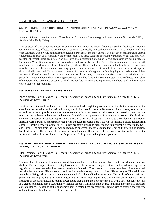# **HEALTH, MEDICINE AND SPORTS (CONT'D):**

# **507. THE INFLUENCES DIFFERING SANITIZED SURFACES HAVE ON** *ESCHERICHIA COLI'S*  **GROWTH RATE***.*

Makana Steinmetz, Block 4 Science Class, Marine Academy of Technology and Environmental Science (MATES), Advisor: Mrs. Kelly Kelsey

The purpose of this experiment was to determine how sanitizing wipes frequently used in healthcare (Medical Germicidal Wipes) affected the growth rate of bacteria, specifically non-pathogenic *E. coli*. It was hypothesized that, once sanitized, wood would minimize the bacteria's growth rate the most due to wood already possessing antibacterial characteristics, such as its durability and composition. The three surfaces, including varnished wood, tile, and water resistant sheetrock, were each treated with a Luria broth containing strains of *E. coli*, then sanitized with a Medical Germicidal Wipe. Samples were then swabbed and cultured for two weeks. The results showed an increase in growth rate for all three surfaces, therefore refuting the hypothesis. These results, however, show that healthcare environments must be conscious about when and how long ago a certain surface was disinfected. If not, more bacteria will appear than originally theorized. Hospitals need to aware of when a certain type of surface is going to experience its highest increase in *E. coli's* growth rate, or any bacterium for that matter, so they can sanitize the surface periodically and properly. A new method on how cleaning procedures should be done will also aid the sterilization of bacteria, in place of the wipes. The percentage of bacteria killed was not determined in this experiment; only how quickly the survivors were capable of reproducing.

# **508. DOES LEAD APPEAR IN LIPSTICKS?**

Anna Valente, Block 1 Science Class, Marine Academy of Technology and Environmental Science (MATES), Advisor: Mr. Dave Werner

Lipsticks are often made with colorants that contain lead. Although the government has the ability to track all of the chemicals in cosmetics, lead, a toxic substance, is still often used in lipsticks. No amount of lead is safe, as it can build up and cause health problems such as cardiovascular effects, increased blood pressure, decreased kidney function, reproductive problems in both men and woman, fetal defects and premature birth in pregnant women. This leads to a concerning question- does lead appear in a significant amount of lipsticks? To come to a conclusion, 15 different lipsticks were purchased and tested for lead with the Lead Inspector Lead Test Kit. The lipsticks tested ranged from cheap, \$1 lipsticks made in China, to well known drugstore brands, to high-end and luxury lipsticks made in the USA and Europe. The data from the tests was collected and analyzed, and it was found that 7 out of 15 (46.7%) of lipsticks had lead in them. The amount of lead ranged from 1-7 ppm. The amount of lead wasn't related to the cost of the lipstick studied, as lead was found in the "super-cheap", drugstore, and high-end lipsticks.

# **509. HOW THE METHOD IN WHICH A SOCCER BALL IS KICKED AFFECTS ITS PROPERTIES OF SPEED, DISTANCE, AND HEIGHT**

Blake Weiner, Block 1 Science Class, Marine Academy of Technology and Environmental Science (MATES), Advisor: Mr. David Werner

The objective of this project was to observe different methods of kicking a soccer ball, and to see which method was the best. The three aspects that were being looked at were the measure of height, distance, and speed. A spring-loaded leg with a foot was created to keep testing consistent. In total, 130 successful trials were completed. The soccer ball was divided into nine different sectors, and the foot angle was separated into five different angles. The height was found by utilizing a slow motion camera to view the ball striking a lined paper system. The results of the experiments prove that kicking the ball at different places with different foot angles have a direct correlation with the ball's attributes of speed, distance, and height. It was found that kicking the bottom of the ball with a low foot degree results in a greater height and speed. Additionally, kicking the ball with a high angle degree in the middle of the ball produces a great distance. The results of this experiment show a methodized procedure that can be used to obtain a specific type of kick, thus revealing the success of the experiment.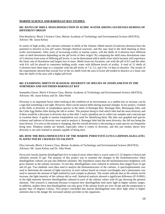# **MARINE SCIENCE AND BARNEGAT BAY STUDIES:**

# **601. RATES OF SHELL MASS DISSOLUTION IN ACIDIC WATER AMONG** *GEUKENSIA DEMISSA* **OF DIFFERENT ORIGIN**

Don Bonifacio, Block 3 Science Class, Marine Academy of Technology and Environmental Science (MATES), Advisor: Mr. Jason Kelsey

In waters of high acidity, the calcium carbonate in shells of the Atlantic ribbed mussel (*Geukensia demissa*) have the potential to dissolve in low pH waters through chemical reactions, and this may lead to the shell thinning in these acidic environments. After years of increasing acidity in marine waters, will the shells of *G.demissa* have different rates of shell dissolution depending on the pH levels of their origin? By comparing the shell mass dissolutions rates of *G.demissa* from areas of differing pH levels, it can be determined which shells from which location will experience the faster rate of dissolution and largest loss in mass. Shells from two locations, one with the pH of 8.5 and the other with 8.0, will be placed in containers holding acidic water with different levels of acidity. A total of 12 shells of *G.demissa* have been kept in a container with the pH levels of 7.4, 5.5, and 4 for 14 days to dissolve. The results of the experiments showed that overall five of the six shells from the area of lower pH tended to dissolve at a faster rate than the shells of the area with a higher pH level.

# **602. EXAMINING SHIFTS IN SEASONAL DIVERSITY OF SPECIES OF ZOOPLANKTON IN THE NORTHERN AND SOUTHERN BARNEGAT BAY**

Samantha Glover, Block 4 Science Class, Marine Academy of Technology and Environmental Science (MATES), Advisors: Mr. Jason Kelsey and Dr. John Wnek

Diversity is an important factor when looking at the condition of an environment, as a sudden loss or increase can be a sign that something is not right. However, there can be natural shifts during seasonal changes. In my project, I looked at the shifts in diversity of zooplankton species in the inlets of Barnegat Bay: Barnegat Inlet, Manasquan Inlet, and the Little Egg Harbor Inlet during the fall to winter. The purpose being to find which inlet had the most diversity and if there would be a decrease in diversity due to that shift. I used a plankton net to collect my samples and a microscope to examine them. A guide to marine zooplankton was used for identifying them. My data was graphed and species richness and indexes of diversity were used to analyze it. Barnegat Inlet had the most diversity, the fall test being the most diverse. It is seen as the season is changing, that the overall diversity is decreasing as some species are frequently being seen. Plankton studies are limited, especially when it comes to diversity, and this just further shows how diversity is not only limited to animals capable of being seen.

# **603. HOW THE BIOLUMINESCENCE OF THE MARINE** *PYROCYSTIS LUNULA* **(DINOFLAGELLATE) IS AFFECTED BY CHANGES TO SALINITY**

Diya Jariwala, Block 2 Science Class, Marine Academy of Technology and Environmental Science (MATES); Advisors: Mr. Jason Kelsey and Dr. John Wnek

*Pyrocystis lunula* (marine dinoflagellate) live in tropical areas where there is warm water (21-32 degrees Celsius) and salinities around 35 ppt. The purpose of this project was to examine the changes in the bioluminescence when dinoflagellate cultures are put into different salinities. My hypothesis states that the bioluminescence brightness will grow dimmer as the salinity increases. To test this, dinoflagellates were cultured in salinities that ranged from 25 ppt and 45 ppt. Two methods were then used to analyze the bioluminescence of the cultures. A spectrophotometer was used to determine the amount of light reactivity in each culture based on certain wavelengths and a photometer was used to measure the amount of light emitted by each sample in photons. The results indicate that as the salinity levels increase, the light intensity of the cultures did as well. Statistical analysis showed a significant difference (P<0.0001) in the light intensity between dinoflagellate cultured in each of the salinity values with 45 ppt showing the greatest intensity. This research is important because it exposes how dinoflagellate emit more light in higher salinity ranges. In addition, studies show that dinoflagellate can only grow if the salinity levels are over 30 ppt and the temperature is greater than 10 degrees Celsius. This project concluded that marine dinoflagellate emit more light when in higher salinities due to the danger the increased salinity provides to the organisms.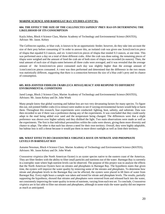# **MARINE SCIENCE AND BARNEGAT BAY STUDIES (CONT'D):**

# **604. THE EFFECT THE SIZE OF THE** *CALLINECTES SAPIDUS***' PREY HAS ON DETERMINING THE LIKELIHOOD OF ITS CONSUMPTION**

Kayla Johns, Block 4 Science Class, Marine Academy of Technology and Environmental Science (MATES), Advisor: Mr. Jason. Kelsey

The *Callinectes sapidus*, or blue crab, is known to be an opportunistic feeder; however, do they take into account the size of their prey before consuming it? In order to answer this, an isolated crab was given one 3cmx2cmx1cm piece of tilapia that equaled 0.3 ounces, and six 1cmx1cmx1cm pieces of tilapia that totaled 0.3 ounces, at one time. This was performed once a day on a total of three different crabs. After the crab was done eating, the remaining pieces of tilapia were weighed and the amount of food the crab ate of both sizes of tilapia was recorded (in ounces). Then, the total amount of each size of tilapia eaten between all three crabs were averaged, and it was revealed that the average amount of the 3cmx2cmx1cm piece consumed each day was slightly higher than the average amount of 1cmx1cmx1cm pieces consumed. A t-test was then performed and determined that the difference in the two means was statistically different, suggesting that there is a connection between the size of a blue crab's prey and its chance of consumption.

#### **605. RED-JOINTED FIDDLER CRABS (***UCA MINAX***) REACT AND RESPOND TO DIFFERENT ENVIRONMENTAL CONDITIONS**

Jared Longo, Block 2 Science Class, Marine Academy of Technology and Environmental Science (MATES), Advisors: Mr. Jason Kelsey and Dr. John Wnek

Many people know that global warming and habitat loss are two very devastating factors for many species. To figure this out, red-jointed fiddler crabs (*Uca minax*) were studies to see if varying environmental factors would help or harm them. Throughout this research, four experiments were conducted: lighting, heat, salinity, and substrate. Data was then recorded to see if there was a preference during any of the experiments. It was concluded that they could easily adapt to the mud being added over sand and the temperature being changed. The differences were that a slight preference was shown over higher salinity and they disliked the light. Two main observations were made as well as the experiments. The first is that individual personalities within the crabs were shown, giving them more diversity and chance to adapt. The other is that each has shown a need for their own territory. Overall, they were highly adaptable, but habitat loss is still a threat because it would put them in more direct sunlight as well as limit their territory.

# **606. WHAT EFFECTS DO** *CRASSOSTREA VIRGINICA* **HAVE ON NITRATE AND PHOSPHATE LEVELS IN BARNEGAT BAY**

Autumn Newman, Block 4 Science Class. Marine Academy of Technology and Environmental Science (MATES), Advisors: Mr. Jason Kelsey and Dr. John Wnek

*Crassostrea virginica* (the North American Oyster) is an oyster species native to the eastern coast of the Americas. They are filter feeders with the ability to filter small particles and nutrients out of the water. Barnegat Bay is currently in a eutrophic state where high nutrient levels can be observed. The purpose of this project was to analyze the effects that the North American Oysters have on nitrates and phosphates in Barnegat Bay. The hypothesis states that given time, the oysters will improve the water quality by removing some of the nitrates and phosphates. To determine how nitrate and phosphate levels in the Barnegat Bay can be affected, the oysters were placed in 68 liters of water from Barnegat Bay. Every eight hours a sample was taken and tested for nitrate and phosphate levels. The results, partially supporting the hypothesis, showed that nitrates and phosphates were removed from and released back into the water, not consistently improving the water quality in terms of nutrients, varying from each test set. To conclude, *Crassostrea virginica* are in fact able to filter out nitrates and phosphates, although in some trials the water quality did not improve as much as anticipated.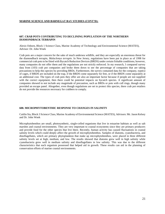# **MARINE SCIENCE AND BARNEGAT BAY STUDIES (CONT'D):**

# **607. CRAB POTS CONTRIBUTING TO DECLINING POPULATION OF THE NORTHERN DIAMONDBACK TERRAPIN**

Alexis Osborn, Block 1 Science Class, Marine Academy of Technology and Environmental Science (MATES), Advisor: Dr. John Wnek

Crab pots are a major concern for the sake of much undersea wildlife, and they are especially an enormous threat for the diamondback terrapin, *Malaclemys terrapin*. In New Jersey, regulations have been put in place as of 1998 for commercial crab pots to be fitted with Bycatch Reduction Devices (BRDS) under certain fishable conditions; however, many companies do not offer them and the regulations are not strictly enforced. In my research, I compared survey data from (103) crab pot companies and broke them down to see the percentage of companies that are taking precautions to help this species by providing BRDs. Furthermore, the survey contained data for the company, type(s) of cages, if BRDS are included on the trap, if the BRDS come separately for free, or if the BRDS come separately at an additional cost. The types of crab pots they offer are also an important factor because if people are not supplied with the correct equipment, then there could be potential impacts on bycatch species. A significant amount of companies showed to not include any magnitude of precaution, such as BRDs or pots with cull rings, though many provided an escape panel. Altogether, even though regulations are set to protect this species, there crab pot retailers do not provide the resources necessary for crabbers to comply.

#### **608. MICROPHYTOBENTHIC RESPONSE TO CHANGES IN SALINITY**

Caitlin Sia, Block 3 Science Class, Marine Academy of Environmental Science (MATES), Advisors: Mr. Jason Kelsey and Dr. John Wnek

Microphytobenthos are small, photosynthetic, single-celled organisms that live in estuarine habitats as well as salt marshes and coastal environments. They are very important to coastal ecosystems since they are primary producers and provide food for the other species that live there. Recently, human activity has caused fluctuations in coastal salinity levels which could deeply affect the growth of microphytobenthos. Samples of diatoms, cyanobacteria, and dinoflagellates, which are primary phytoplankton that make up microphytobenthos, were placed in three different salinity levels set at high, medium, and low. The results showed that diatoms grew well in high salinity while cyanobacteria grew well in medium salinity and dinoflagellates in low salinity. This was due to the different characteristics that each organism possessed that helped aid in growth. These results can aid in the planning of conservation efforts of marine coastal environments.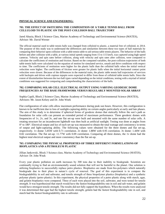### **PHYSICAL SCIENCE AND ENGINEERING:**

# **701. THE EFFECT OF SWITCHING THE COMPOSITION OF A TABLE TENNIS BALL FROM CELLULOID TO PLASTIC ON THE POST-COLLISION BALL TRAJECTORY**

Jared Abazia, Block 3 Science Class, Marine Academy of Technology and Environmental Science (MATES), Advisor: Mr. David Werner

The official material used in table tennis balls was changed from celluloid to plastic, a material free of celluloid, in 2014. The purpose of this study was to understand the differences and similarities between these two types of ball materials by comparing their behavior upon collision with a table tennis table to aid serious table tennis players. The behavior of the balls before and after collision with a table, at various initial speeds ranging from 15 to 115 km/h, was captured using high-speed cameras. Velocity and spin rates before collision, along with velocity and spin rates after collision, were computed to calculate the coefficients of restitution and friction. Based on the computed variables, the post-collision trajectories of both table tennis balls were calculated via the equation of motion for simulated service, smash and drive conditions with respect to time. The coefficients of restitution were higher for the plastic balls than the celluloid balls when the initial vertical velocities were higher. The coefficients of friction were greater for plastic balls when the initial horizontal contact point velocities were slower. Because of the differences in the material traits, the plastic table tennis ball trajectories of services with backspin and drives with copious topspin were expected to differ from those of celluloid table tennis balls. Since the extent of dissimilarities between the two ball types varied depending on the initial conditions, testing with a myriad of initial conditions was suggested for comparing and comprehending the characteristics of the balls.

#### **702. COMPARING SOLAR CELL ELECTRICAL OUTPUT USING VARYING GEODESIC DOME FREQUENCIES AS THE BASE FRAMEWORK VERSUS REGULARLY MOUNTED SOLAR ARRAY**

Sophia Capili, Block 2 Science Class, Marine Academy of Technology and Environmental Science (MATES), Advisors: Mr. Jason Kelsey and Dr. John Wnek

Flat configuration of solar cells allow maximum performance during peak sun hours. However, this configuration is known to be inefficient due to loss of sunlight-capturing ability on certain angles particularly at early and late phases. The aim of this study is to determine if spherical forms of geodesic domes that statically follow the sun's path as foundation for solar cells can present an extended period of maximum performance. Three geodesic domes with frequencies of 1v, 2v, and 3v, and one flat set-up were built and mounted with the same number of solar cells. A rotating structure for an incandescent lightbulb was then built as artificial sunlight. Testing was done at angles from  $0^{\circ}$  to 180 $^{\circ}$ . Electrical output and lux of each set-up was measured to obtain the total wattage and consistency in terms of output and light-capturing ability. The following values were obtained for the three domes and flat set-up, respectively. 1v dome: 5.85W with 0.71 correlation. 2v dome: 1.88W with 0.95 correlation. 3v dome: 1.44W with 0.82 correlation. The flat set-up: 11.77W with 0.09 correlation. Comparing all three domes, the 1v dome had the highest total electrical output and more consistency than the flat set-up.

# **703. COMPARING THE PHYSICAL PROPERTIES OF THREE DIFFERENT FORMULATIONS OF BIOPLASTICS AND A PETROLEUM PLASTIC**

Jillian Jankowski, Block 3 Science class, Marine Academy of Technology and Environmental Science (MATES), Advisor: Dr. John Wnek

Every year plastic pollution on earth increases by 300 tons due to their inability to biodegrade. Scientists are continually trying to find an environmentally sound solution that will not be harmful to the planet. One solution is utilizing bioplastics to successfully replace petro plastics. Bioplastics are made from bio-polymers which naturally biodegrade due to their place in nature's cycle of renewal. The goal of this experiment is to compare the biodegradability in soil and saltwater, and tensile strength of three biopolymer plastics (bioplastics) and a synthetic polymer plastic (petro plastic). In this experiment, the physical properties of a petro plastic along with starch, agar, and gelatin bioplastics were compared. Three of each were placed into the soil, saltwater, and were tested for tensile strength. It was hypothesized that starch would have the fastest biodegradability rate in soil and salt water, and gelatin would have strongest tensile strength. The results did not fully support the hypothesis. When the results were analyzed it was determined that agar had the highest tensile strength, gelatin had the fastest biodegradability rate in soil, and starch had the fastest biodegradability rate in saltwater.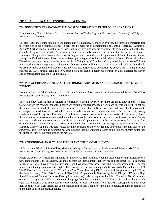# **PHYSICAL SCIENCE AND ENGINEERING (CONT'D):**

#### **704. HOW CERTAIN NANOMATERIALS CAUSE VIBRATIONS IN FIELD HOCKEY STICKS**

Haley Korwan, Block 1 Science Class, Marine Academy of Technology and Environmental Science (MATES), Advisor: Dr. John Wnek

The stick is the most important piece of equipment in field hockey. As the sport evolves, the composite materials used to create a stick are becoming stronger. Sticks can be made up of combinations of Carbon, Fiberglass, Aramid or Kevlar®. Carbon produces such a force that result in great vibrations, many sticks will be balanced out with either aramid, fiberglass, or Kevlar®. These materials are considerably weaker than Carbon, but this means it dampens vibrations. Fiberglass and aramid should resist fatigue, which would allow for great control due to increased impact absorption. Each stick tested incorporates different percentages of each material, which projects different vibrations. The sticks that were chosen have the same weight of 530 grams, 36.5 inches (93 cm) in height, and a bow of 25 mm. Sticks with more carbon produce both greater vibrations and overall feel of a stick. A stick with 100% carbon should be used by more experienced players since they are less forgiving to absorption by about 2 Hz. The significance between an 100% carbon stick and a 70% carbon stick can result in better ball control for a less experienced player, and decreased sting and shook up the stick.

# **705. THE ACCURACY OF GLOBAL POSITIONING SYSTEMS IN ANDROID AND IPHONE MOBILE DEVICES**

Dominick Mustaro, Block 4 Science Class, Marine Academy of Technology and Environmental Science (MATES), Advisors: Mr. Jason Kelsey and Dr. John Wnek

The technology used in mobile devices is constantly evolving. Every year, there are many new phones released worldwide. As the components of the phones are continually upgraded, people are more likely to utilize the functions the phone offers instead of using an older form of electronic. The GPS in phones is used every day to navigate to certain places. In addition, it is used in field work to find coordinates and calculate distance. But how accurate exactly are these phones? In my tests, I traveled to five different areas and searched for survey markers in the ground, objects that are placed to measure distance and elevation of areas in order to accurately plot coordinates on maps. Survey markers provide a way to compare the coordinate measure of a phone to that of the correct measure. By hovering four different mobile devices over each marker, an iPhone 6 Plus, an iPhone X, a Samsung Galaxy Note 8 Phone, and a Samsung Galaxy Tab S2, I was able to note down the coordinates they were reading and compare them to those of the survey markers. This data is important because it shows that the Samsung devices could find coordinates better than the iPhones when being compared to the markers.

#### **706. A TECHNICAL ANALYSIS OF PIXELS AND THEIR COMPONENTS**

JP Ostapovich, Block 1 Science Class, Marine Academy of Technology and Environmental Science (MATES), Advisors: Mr. Jason Kelsey, Mr. Brian Jones, Mr. John Ostapovich, and Mr. David Pitts

Pixels are everywhere, from smartphones to jumbotrons. The technology behind these engineering masterpieces is now being put into Christmas lights. Technology from the entertainment industry, has come together to create a system for these to work. I have a system at my house and have researched how it works. First, you program the sequence into a computer application called xLights. Then, using a web server, you input the files on to the Falcon Player (FPP). The FPP outputs the files to the F16V3 or AlphaPix4 Controllers using E1.31, a standard first pioneered by ESTA for the theatre industry. The F16V3 uses an FPGA (Field Programmable Gate Array) in VHDL (VHSIC (Very High Speed Integrated Circuit) Hardware Description Language) code to output to the lights. The AlphaPix4 Controllers output to the lights in DMX512, a computer language from the show industry. DMX uses binary data, that can only equal the numbers 0-255. The pixels have three inputs for data. The binary from the DMX corresponds to how much light goes into each LED that makes up the interior of the pixel. That is how the pixels operate, from the computer file to the light you see in beautiful colors.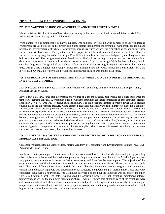# **PHYSICAL SCIENCE AND ENGINEERING (CONT'D):**

#### **707. THE VARYING DESIGNS OF WINDBREAKS AND THEIR EFFECTIVENESS**

Madelyn Privett, Block 4 Science Class. Marine Academy of Technology and Environmental Science (MATES), Advisors: Mr. Jason Kelsey and Dr. John Wnek

Wind damage is a common issue in many countries. One solution for reducing wind damage is to use windbreaks. Windbreaks are used to block and redirect wind. Some factors that increase the strength of windbreaks are length and height, and internal/external structures. For example, porous structures are better at redirecting wind, and an increased surface area will block wind. The hypothesis of this project is that the surface area of a structure will not affect the success of reducing drag, but rather the design. Five different sample structures were designed by me. They were then built out of wood. The designs were then placed into a filled tub for testing. Using an ink test, we were able to determine the amount of time it took for the ink to travel from 10 cm to the design. With the data gathered, I could calculate drag force. Design 1 had the highest surface area but the lowest drag. Design 2 had a lower than average drag. Design 3 had a higher than average surface area. Design 4 had the lowest surface area, but it didn't have the lowest drag. Overall, a low correlation was identified between surface area and the drag force.

# **708. THE REACTIONS OF DIFFERENT MATERIALS WHEN CHANGES IN PRESSURE ARE APPLIED IN A VACUUM CHAMBER**

Jack D. Putnam, Block 1 Science Class, Marine Academy of Technology and Environmental Science (MATES), Advisor: Mr. Jason Kelsey

Boyle's law, a gas law, states that the pressure and volume of a gas are inversely proportional for a fixed mass when the temperature remains constant. A proportion exists between the amount of gas that is compressed and the amount of pressure applied;  $P_1V_1 = P_2V_2$ . One way to observe this scientific law is to use a vacuum chamber in order to lower the air pressure beyond that of the atmospheric pressure. Using common household materials, various mediums were placed in a container and observed while the air pressure was decreased. Inside the vacuum chamber, the balloon, shaving cream, and marshmallows expanded causing an increase in volume when the air pressure decreased. When hot water was placed inside the vacuum container and the air pressure was decreased, there was no noticeable difference in the volume. Unlike the balloon, shaving cream, and marshmallows, water exerts its own pressure and therefore, cancels out any decrease in air pressure. Atmospheric pressure pushes on the balloon, shaving cream, and mini-marshmallow; however, once in a vacuum container, the air trapped inside those materials pushes out causing them to expand. A proportion does exist between the amount of gas that is compressed and the amount of pressure applied; when pressure is increased, the volume does decrease, and when the pressure is decreased, the volume does increase.

# **709. CAN EELGRASS (***ZOSTERA MARINA)* **BE AN EFFECTIVE HOME INSULATOR COMPARED TO MODERN DAY INSULATION?**

Cassandra Vongrej, Block 3 Science Class, Marine Academy of Technology and Environmental Science (MATES), Advisor: Mr. Jason Kelsey

Insulation is an important part to home construction, and is a material used that reduces heat loss and gain by providing a barrier between a home and the outside temperatures. Eelgrass insulation dates back to the Middle Ages, and was very popular. Advancements in home insulation were made, and fiberglass became popular. The objective of this experiment was to see if eelgrass insulation would be as effective as modern insulation. Three structures were built, each filled with different insulation material. One with fiberglass insulation, another eelgrass, and one with a combination of both. A light bulb was placed inside each structure, along with a digital thermometer. Three tests were conducted, each over a 2 hour period, with 15 minute intervals. For one hour the light bulb was on, and off the other. This tested retained heat. The data was analyzed by observing how well each structure maintained internal temperature, as well as the maximum high temperature. It was determined that although each of the structures were able to maintain heat well, the combination insulation worked best. The fiberglass insulation was able to reach higher temperatures, but was unable to maintain those temperatures over time, and the eelgrass insulation was unable to reach higher temperatures, but maintained the temperatures longer.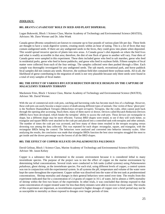# **ZOOLOGY:**

# **801.** *BRANTA CANADENSIS'* **ROLE IN SEED AND PLANT DISPERSAL**

Logan Bukowski, Block 1 Science Class, Marine Academy of Technology and Environmental Science (MATES), Advisors: Mr. Dave Werner and Dr. John Wnek

Canada geese (*Branta canadensis*) are known to consume up to four pounds of various plant life per day. These birds are thought to have a weak digestive system, creating stools within an hour of eating. This is a lot of feces that may contain undigested seeds. If there are any undigested seeds in the feces, they could grow into plants when deposited. This would spread invasive species of plants into new areas. A Canada goose's diet depends on where the bird lives and what is readily accessible in that area; therefore, the diet of one flock of geese to another will vary. Four diets of Canada geese were sampled in this experiment. These diets included geese who feed in salt marshes, geese who feed in residential parks, geese who feed in horse paddocks, and geese who feed in soybean fields. Fifteen samples of fecal matter were collected from each of the four settings. The samples collected were then pushed through a filter. Each sample was thoroughly investigated for any undigested seeds. The salt marsh, recreational park, and horse paddock fecal samples did not contain any seeds. However, the soybean field diet contained three soybean seeds. All in all, the likelihood of geese contributing to the migration of seeds is not very plausible because only three seeds were found in a total of sixty samples of fecal matter.

# **802. THE EFFECT OF VARIOUS BYCATCH REDUCTION DEVICE DESIGNS ON THE CAPTURE OF**  *MALACLEMYS TERRAPIN TERRAPIN*

Mackenzie Fries, Block 1 Science Class, Marine Academy of Technology and Environmental Science (MATES), Advisor: Mr. David Werner.

With the use of commercial-style crab pots, catching and harvesting crabs has become much less of a challenge. However, these crab pots can easily become a major source of death among different types of animals. One victim of these 'ghost pots' is the Northern Diamondback Terrapin (*Malaclemys terrapin terrapin*). Terrapins, like the crabs, often cannot push back through the opening after accessing. Stuck there, many of them starve or drown. Devices called Bycatch Reduction Devices (BRDs) have been developed, which hinder the terrapins' ability to access the crab pots. These devices are rectangular in shape, but a different shape may be more efficient. Various BRD shapes were tested, to see if they will work better, so triangular and square BRDs were attached to the crab pot and placed into a controlled tank with terrapins and other animals. The number of times the crab pot was accessed, and how many of those times resulted in the terrapin escaping versus drowning was among the data collected. This was repeated for each shape: rectangular, square, and triangular, with the rectangular BRDs being the control. The behaviors were analyzed and converted into behavior intensity scales. After analyzing the results, the conclusion was made that triangular BRDs function the best since terrapins struggled the most to get inside and the drown percentage was the lowest of all the BRD shapes.

# **803. THE EFFECT OF COPPER SULFATE ON** *PALAEMONETES PALUDOSUS*

David Gelinas, Block 1 Science Class, Marine Academy of Technology and Environmental Science (MATES), Advisor: Mr. Jason Kelsey

Copper is a substance that is detrimental to the oceanic environment because it is considered lethal to many invertebrate species. The purpose of the project was to test the effect of copper on the marine environment by determining lethal concentrations. Several trials were conducted in fish tanks (called systems) using *Palaemonetes paludosus*, ghost shrimp, as the invertebrate species. For each trial, using different levels of copper, a control system was run in conjunction with the experimental system. In all systems the pH, temperature and volume of the water were kept the same throughout the experiment. Copper sulfate was dissolved into the water of the test tank at predetermined concentrations. Shrimp mortality and changes in their general behaviors were noted over time. The results from this experiment indicated that for a concentration of 2.4 grams of copper in 16 L of water, led to almost a 100% mortality of shrimp within the first two hours of the experiment. In other trials, it was concluded that shrimp exposed to that same concentration of copper-treated water for less than thirty minutes were able to recover in clean water. The results of this experiment are important, as invertebrates exposed to higher dosages of copper over a brief period may not be as susceptible to mortality as those exposed to dosages over longer periods of time.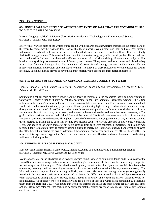# **ZOOLOGY (CONT'D):**

# **804. HOW IS** *PALAEMONETES SPP.* **AFFECTED BY TYPES OF SALT THAT ARE COMMONLY USED TO MELT ICE ON ROADWAYS?**

Kiernan Geoghegan, Block 4 Science Class, Marine Academy of Technology and Environmental Science (MATES), Advisor: Mr. Jason Kelsey

Every winter various parts of the United States are hit with blizzards and snowstorms throughout the colder parts of the year. To counteract the frost and layers of ice that these storms leave on roadways local and state governments will cover the roads with salt. As the ice melts the salts will dissolve into water, the water will run off and eventually find itself in larger bodies. This introduction of salts into the water can greatly affect local species. This experiment was conducted to find out how these salts affected a species of local shore shrimp, *Palaemonetes vulgaris*. One hundred twenty shrimp were tested in four different types of water. Thirty were used as a control and placed in bay water taken from the Barnegat Bay. The remaining 90 were divided among containers with calcium chloride, magnesium chloride, and sodium chloride added to them. The effects of these substances were monitored for twenty five days. Calcium chloride proved to have the highest mortality rate among the three tested substances.

#### **805. THE EFFECTS OF SEDIMENT ON** *GEUKENSIA DEMISSA'S* **ABILITY TO FILTER**

Lindsey Hancock, Block 1 Science Class, Marine Academy of Technology and Environmental Science (MATES), Advisor: Mr. David Werner

Sediment is a natural form of matter, made from the decaying remains or dead organisms that is commonly found in waterways. However though it may be natural, according to the Environmental Protection Agency (EPA), fine sediment is the leading cause of pollution in rivers, streams, lakes, and reservoirs. Fine sediment is considered sub sized particles that combine with larger particles, ultimately not letting light through. Sediment enters our waterways through stormwater runoff. Runoff occurs when there is not enough pervious surfaces to absorb the runoff from a storm event. Runoff from roofs, paved areas, and lawns combines with eroded sediment then enters waterways. The goal of this experiment was to find if the Atlantic ribbed mussel (*Geukensia demissa*), was able to filter varying amounts of sediment from the water. Throughout a period of three weeks, varying amounts of silt, was dispersed into three separate, 10 gallon tanks. Each tank holding 100 mussels each. The varying amounts of silt,  $\frac{1}{4}$  cup,  $\frac{1}{2}$  cup, and 1 cup, was added to the water, then after six hours samples from each were collected. Temperature, and salinity was recorded daily to maintain filtering stability. Using a turbidity meter, the results were analyzed. Analyzation showed that after the six hour period, the bivalves decreased the amount of sediment in each tank by 30%, 45%, and 60%. The results of this experiment suggest that *Geukensia demissa* can be a cost effective, and natural alternative to the rising sediment pollution problem.

#### **806. FEEDING HABITS OF** *ILYANASSA OBSOLETA*

Sam Morabito-Pipher, Block 1 Science Class, Marine Academy of Technology and Environmental Science (MATES), Advisors: Mr. David Werner and Dr. John Wnek

*Ilyanassa obsoleta*, or the Mudsnail, is an invasive species found that can be commonly found on the east coast of the United States, its native range. When introduced into a foreign environment, the Mudsnail becomes a huge competitor for native species of the region. This behavior could greatly be attributed that *Ilyanassa obsoleta* is a facultative scavenger, meaning it will eat anything sustenance it finds for survival and obtains it by any means necessary. The Mudsnail is commonly attributed to eating mollusks, crustaceans, fish remains, among other organisms generally found in its habitat. An experiment was conducted to observe the differences in feeding habits of *Ilyanassa obsoleta* when introduced to shrimp and bay scallops, things it feeds on naturally, and lettuce and carrots, things it would not find naturally. All options were tested separately and for a period of time in a water basin containing 27 Mudsnails taken from the Barnegat Bay. It was found that when fed shrimp; the snails ate more grams per day than any other option. Lettuce was eaten the least, this could be due to the fact that shrimp are found in Mudsnail' natural environment and lettuce is not.